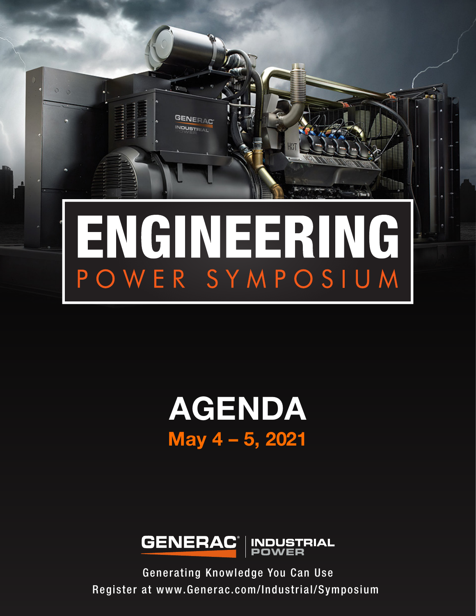

# AGENDA May 4 – 5, 2021



Generating Knowledge You Can Use Register at www.Generac.com/Industrial/Symposium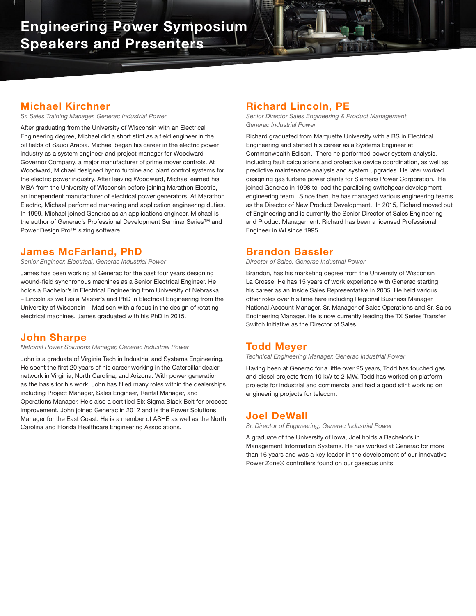

### Michael Kirchner

*Sr. Sales Training Manager, Generac Industrial Power*

After graduating from the University of Wisconsin with an Electrical Engineering degree, Michael did a short stint as a field engineer in the oil fields of Saudi Arabia. Michael began his career in the electric power industry as a system engineer and project manager for Woodward Governor Company, a major manufacturer of prime mover controls. At Woodward, Michael designed hydro turbine and plant control systems for the electric power industry. After leaving Woodward, Michael earned his MBA from the University of Wisconsin before joining Marathon Electric, an independent manufacturer of electrical power generators. At Marathon Electric, Michael performed marketing and application engineering duties. In 1999, Michael joined Generac as an applications engineer. Michael is the author of Generac's Professional Development Seminar Series™ and Power Design Pro™ sizing software.

# James McFarland, PhD

*Senior Engineer, Electrical, Generac Industrial Power*

James has been working at Generac for the past four years designing wound-field synchronous machines as a Senior Electrical Engineer. He holds a Bachelor's in Electrical Engineering from University of Nebraska – Lincoln as well as a Master's and PhD in Electrical Engineering from the University of Wisconsin – Madison with a focus in the design of rotating electrical machines. James graduated with his PhD in 2015.

#### John Sharpe

*National Power Solutions Manager, Generac Industrial Power*

John is a graduate of Virginia Tech in Industrial and Systems Engineering. He spent the first 20 years of his career working in the Caterpillar dealer network in Virginia, North Carolina, and Arizona. With power generation as the basis for his work, John has filled many roles within the dealerships including Project Manager, Sales Engineer, Rental Manager, and Operations Manager. He's also a certified Six Sigma Black Belt for process improvement. John joined Generac in 2012 and is the Power Solutions Manager for the East Coast. He is a member of ASHE as well as the North Carolina and Florida Healthcare Engineering Associations.

# Richard Lincoln, PE

*Senior Director Sales Engineering & Product Management, Generac Industrial Power*

Richard graduated from Marquette University with a BS in Electrical Engineering and started his career as a Systems Engineer at Commonwealth Edison. There he performed power system analysis, including fault calculations and protective device coordination, as well as predictive maintenance analysis and system upgrades. He later worked designing gas turbine power plants for Siemens Power Corporation. He joined Generac in 1998 to lead the paralleling switchgear development engineering team. Since then, he has managed various engineering teams as the Director of New Product Development. In 2015, Richard moved out of Engineering and is currently the Senior Director of Sales Engineering and Product Management. Richard has been a licensed Professional Engineer in WI since 1995.

## Brandon Bassler

*Director of Sales, Generac Industrial Power*

Brandon, has his marketing degree from the University of Wisconsin La Crosse. He has 15 years of work experience with Generac starting his career as an Inside Sales Representative in 2005. He held various other roles over his time here including Regional Business Manager, National Account Manager, Sr. Manager of Sales Operations and Sr. Sales Engineering Manager. He is now currently leading the TX Series Transfer Switch Initiative as the Director of Sales.

### Todd Meyer

*Technical Engineering Manager, Generac Industrial Power*

Having been at Generac for a little over 25 years, Todd has touched gas and diesel projects from 10 kW to 2 MW. Todd has worked on platform projects for industrial and commercial and had a good stint working on engineering projects for telecom.

## Joel DeWall

*Sr. Director of Engineering, Generac Industrial Power*

A graduate of the University of Iowa, Joel holds a Bachelor's in Management Information Systems. He has worked at Generac for more than 16 years and was a key leader in the development of our innovative Power Zone® controllers found on our gaseous units.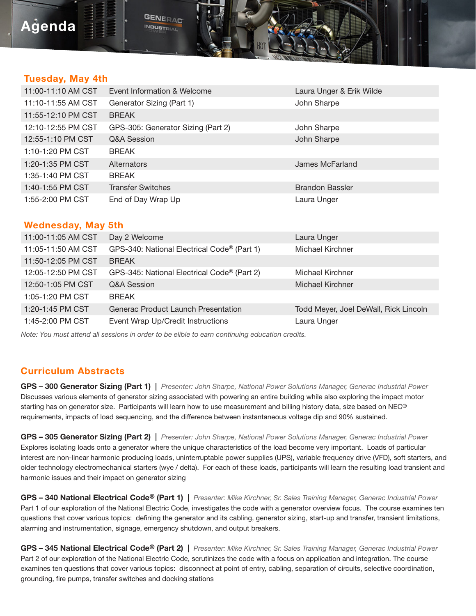# Agenda

#### Tuesday, May 4th

| 11:00-11:10 AM CST | Event Information & Welcome        | Laura Unger & Erik Wilde |
|--------------------|------------------------------------|--------------------------|
| 11:10-11:55 AM CST | Generator Sizing (Part 1)          | John Sharpe              |
| 11:55-12:10 PM CST | <b>BREAK</b>                       |                          |
| 12:10-12:55 PM CST | GPS-305: Generator Sizing (Part 2) | John Sharpe              |
| 12:55-1:10 PM CST  | Q&A Session                        | John Sharpe              |
| 1:10-1:20 PM CST   | <b>BREAK</b>                       |                          |
| 1:20-1:35 PM CST   | Alternators                        | James McFarland          |
| 1:35-1:40 PM CST   | <b>BREAK</b>                       |                          |
| 1:40-1:55 PM CST   | <b>Transfer Switches</b>           | <b>Brandon Bassler</b>   |
| 1:55-2:00 PM CST   | End of Day Wrap Up                 | Laura Unger              |

#### Wednesday, May 5th

| 11:00-11:05 AM CST | Day 2 Welcome                               | Laura Unger                           |
|--------------------|---------------------------------------------|---------------------------------------|
| 11:05-11:50 AM CST | GPS-340: National Electrical Code® (Part 1) | Michael Kirchner                      |
| 11:50-12:05 PM CST | <b>BREAK</b>                                |                                       |
| 12:05-12:50 PM CST | GPS-345: National Electrical Code® (Part 2) | Michael Kirchner                      |
| 12:50-1:05 PM CST  | Q&A Session                                 | Michael Kirchner                      |
| 1:05-1:20 PM CST   | <b>BREAK</b>                                |                                       |
| 1:20-1:45 PM CST   | Generac Product Launch Presentation         | Todd Meyer, Joel DeWall, Rick Lincoln |
| 1:45-2:00 PM CST   | Event Wrap Up/Credit Instructions           | Laura Unger                           |

*Note: You must attend all sessions in order to be elible to earn continuing education credits.*

**GENERAC** INDUSTRIAL

#### Curriculum Abstracts

GPS – 300 Generator Sizing (Part 1) | *Presenter: John Sharpe, National Power Solutions Manager, Generac Industrial Power* Discusses various elements of generator sizing associated with powering an entire building while also exploring the impact motor starting has on generator size. Participants will learn how to use measurement and billing history data, size based on NEC® requirements, impacts of load sequencing, and the difference between instantaneous voltage dip and 90% sustained.

GPS – 305 Generator Sizing (Part 2) | *Presenter: John Sharpe, National Power Solutions Manager, Generac Industrial Power* Explores isolating loads onto a generator where the unique characteristics of the load become very important. Loads of particular interest are non-linear harmonic producing loads, uninterruptable power supplies (UPS), variable frequency drive (VFD), soft starters, and older technology electromechanical starters (wye / delta). For each of these loads, participants will learn the resulting load transient and harmonic issues and their impact on generator sizing

GPS – 340 National Electrical Code® (Part 1) | *Presenter: Mike Kirchner, Sr. Sales Training Manager, Generac Industrial Power* Part 1 of our exploration of the National Electric Code, investigates the code with a generator overview focus. The course examines ten questions that cover various topics: defining the generator and its cabling, generator sizing, start-up and transfer, transient limitations, alarming and instrumentation, signage, emergency shutdown, and output breakers.

GPS – 345 National Electrical Code® (Part 2) | *Presenter: Mike Kirchner, Sr. Sales Training Manager, Generac Industrial Power* Part 2 of our exploration of the National Electric Code, scrutinizes the code with a focus on application and integration. The course examines ten questions that cover various topics: disconnect at point of entry, cabling, separation of circuits, selective coordination, grounding, fire pumps, transfer switches and docking stations